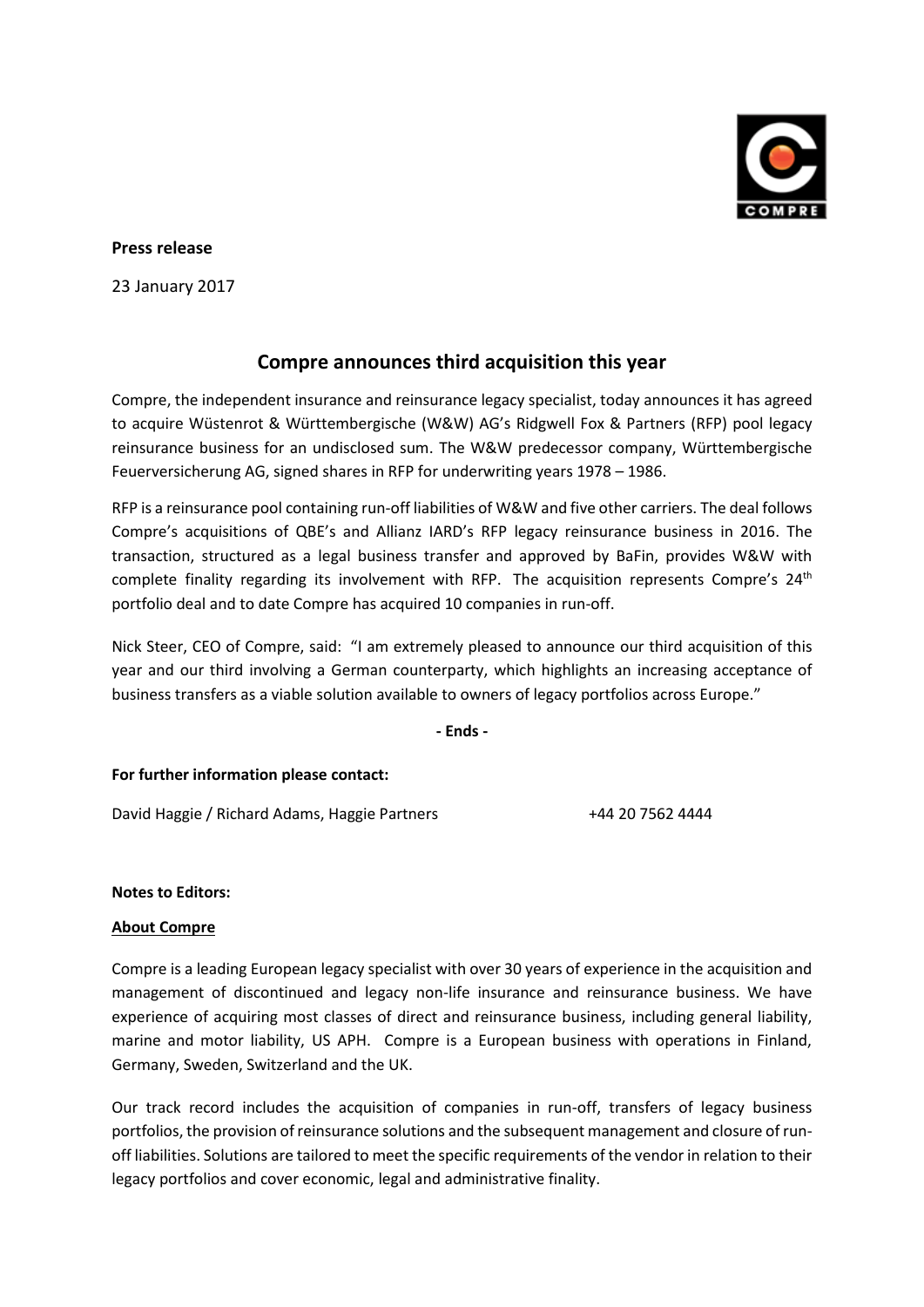

## **Press release**

23 January 2017

# **Compre announces third acquisition this year**

Compre, the independent insurance and reinsurance legacy specialist, today announces it has agreed to acquire Wüstenrot & Württembergische (W&W) AG's Ridgwell Fox & Partners (RFP) pool legacy reinsurance business for an undisclosed sum. The W&W predecessor company, Württembergische Feuerversicherung AG, signed shares in RFP for underwriting years 1978 – 1986.

RFP is a reinsurance pool containing run-off liabilities of W&W and five other carriers. The deal follows Compre's acquisitions of QBE's and Allianz IARD's RFP legacy reinsurance business in 2016. The transaction, structured as a legal business transfer and approved by BaFin, provides W&W with complete finality regarding its involvement with RFP. The acquisition represents Compre's  $24<sup>th</sup>$ portfolio deal and to date Compre has acquired 10 companies in run-off.

Nick Steer, CEO of Compre, said: "I am extremely pleased to announce our third acquisition of this year and our third involving a German counterparty, which highlights an increasing acceptance of business transfers as a viable solution available to owners of legacy portfolios across Europe."

**- Ends -**

### **For further information please contact:**

David Haggie / Richard Adams, Haggie Partners +44 20 7562 4444

### **Notes to Editors:**

### **About Compre**

Compre is a leading European legacy specialist with over 30 years of experience in the acquisition and management of discontinued and legacy non-life insurance and reinsurance business. We have experience of acquiring most classes of direct and reinsurance business, including general liability, marine and motor liability, US APH. Compre is a European business with operations in Finland, Germany, Sweden, Switzerland and the UK.

Our track record includes the acquisition of companies in run-off, transfers of legacy business portfolios, the provision of reinsurance solutions and the subsequent management and closure of runoff liabilities. Solutions are tailored to meet the specific requirements of the vendor in relation to their legacy portfolios and cover economic, legal and administrative finality.